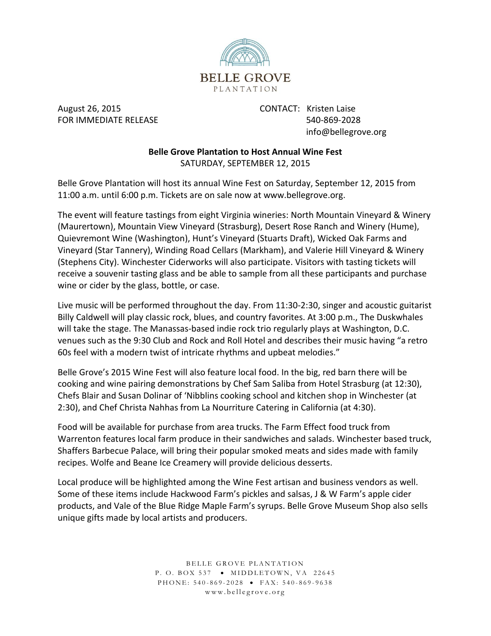

August 26, 2015 CONTACT: Kristen Laise FOR IMMEDIATE RELEASE 540-869-2028

info@bellegrove.org

## **Belle Grove Plantation to Host Annual Wine Fest** SATURDAY, SEPTEMBER 12, 2015

Belle Grove Plantation will host its annual Wine Fest on Saturday, September 12, 2015 from 11:00 a.m. until 6:00 p.m. Tickets are on sale now at www.bellegrove.org.

The event will feature tastings from eight Virginia wineries: North Mountain Vineyard & Winery (Maurertown), Mountain View Vineyard (Strasburg), Desert Rose Ranch and Winery (Hume), Quievremont Wine (Washington), Hunt's Vineyard (Stuarts Draft), Wicked Oak Farms and Vineyard (Star Tannery), Winding Road Cellars (Markham), and Valerie Hill Vineyard & Winery (Stephens City). Winchester Ciderworks will also participate. Visitors with tasting tickets will receive a souvenir tasting glass and be able to sample from all these participants and purchase wine or cider by the glass, bottle, or case.

Live music will be performed throughout the day. From 11:30-2:30, singer and acoustic guitarist Billy Caldwell will play classic rock, blues, and country favorites. At 3:00 p.m., The Duskwhales will take the stage. The Manassas-based indie rock trio regularly plays at Washington, D.C. venues such as the 9:30 Club and Rock and Roll Hotel and describes their music having "a retro 60s feel with a modern twist of intricate rhythms and upbeat melodies."

Belle Grove's 2015 Wine Fest will also feature local food. In the big, red barn there will be cooking and wine pairing demonstrations by Chef Sam Saliba from Hotel Strasburg (at 12:30), Chefs Blair and Susan Dolinar of 'Nibblins cooking school and kitchen shop in Winchester (at 2:30), and Chef Christa Nahhas from La Nourriture Catering in California (at 4:30).

Food will be available for purchase from area trucks. The Farm Effect food truck from Warrenton features local farm produce in their sandwiches and salads. Winchester based truck, Shaffers Barbecue Palace, will bring their popular smoked meats and sides made with family recipes. Wolfe and Beane Ice Creamery will provide delicious desserts.

Local produce will be highlighted among the Wine Fest artisan and business vendors as well. Some of these items include Hackwood Farm's pickles and salsas, J & W Farm's apple cider products, and Vale of the Blue Ridge Maple Farm's syrups. Belle Grove Museum Shop also sells unique gifts made by local artists and producers.

> BELLE GROVE PLANTATION P. O. BOX 537 . MIDDLETOWN, VA 22645 P H O N E: 540-869-2028 • FAX: 540-869-9638 www.bellegrove.org